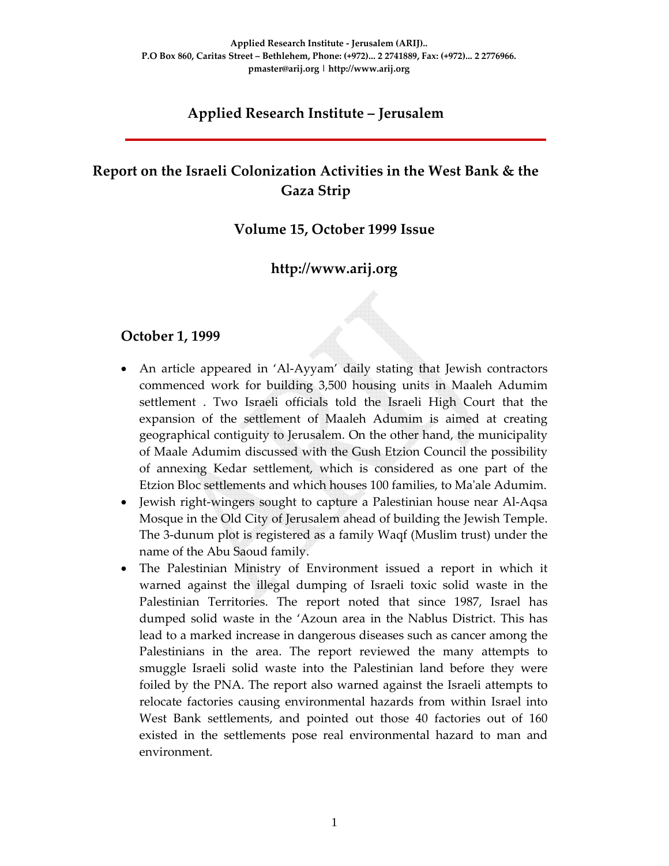# **Applied Research Institute – Jerusalem**

# **Report on the Israeli Colonization Activities in the West Bank & the Gaza Strip**

#### **Volume 15, October 1999 Issue**

## **http://www.arij.org**

#### **October 1, 1999**

- An article appeared in 'Al‐Ayyam' daily stating that Jewish contractors commenced work for building 3,500 housing units in Maaleh Adumim settlement . Two Israeli officials told the Israeli High Court that the expansion of the settlement of Maaleh Adumim is aimed at creating geographical contiguity to Jerusalem. On the other hand, the municipality of Maale Adumim discussed with the Gush Etzion Council the possibility of annexing Kedar settlement, which is considered as one part of the Etzion Bloc settlements and which houses 100 families, to Maʹale Adumim.
- Jewish right-wingers sought to capture a Palestinian house near Al-Aqsa Mosque in the Old City of Jerusalem ahead of building the Jewish Temple. The 3‐dunum plot is registered as a family Waqf (Muslim trust) under the name of the Abu Saoud family.
- The Palestinian Ministry of Environment issued a report in which it warned against the illegal dumping of Israeli toxic solid waste in the Palestinian Territories. The report noted that since 1987, Israel has dumped solid waste in the 'Azoun area in the Nablus District. This has lead to a marked increase in dangerous diseases such as cancer among the Palestinians in the area. The report reviewed the many attempts to smuggle Israeli solid waste into the Palestinian land before they were foiled by the PNA. The report also warned against the Israeli attempts to relocate factories causing environmental hazards from within Israel into West Bank settlements, and pointed out those 40 factories out of 160 existed in the settlements pose real environmental hazard to man and environment.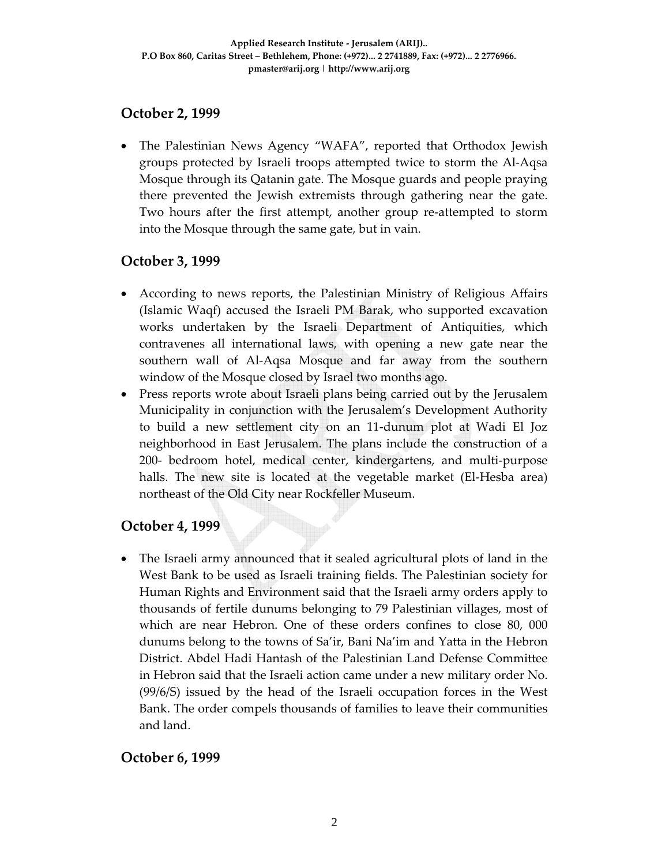## **October 2, 1999**

• The Palestinian News Agency "WAFA", reported that Orthodox Jewish groups protected by Israeli troops attempted twice to storm the Al‐Aqsa Mosque through its Qatanin gate. The Mosque guards and people praying there prevented the Jewish extremists through gathering near the gate. Two hours after the first attempt, another group re‐attempted to storm into the Mosque through the same gate, but in vain.

## **October 3, 1999**

- According to news reports, the Palestinian Ministry of Religious Affairs (Islamic Waqf) accused the Israeli PM Barak, who supported excavation works undertaken by the Israeli Department of Antiquities, which contravenes all international laws, with opening a new gate near the southern wall of Al-Aqsa Mosque and far away from the southern window of the Mosque closed by Israel two months ago.
- Press reports wrote about Israeli plans being carried out by the Jerusalem Municipality in conjunction with the Jerusalem's Development Authority to build a new settlement city on an 11‐dunum plot at Wadi El Joz neighborhood in East Jerusalem. The plans include the construction of a 200‐ bedroom hotel, medical center, kindergartens, and multi‐purpose halls. The new site is located at the vegetable market (El-Hesba area) northeast of the Old City near Rockfeller Museum.

## **October 4, 1999**

• The Israeli army announced that it sealed agricultural plots of land in the West Bank to be used as Israeli training fields. The Palestinian society for Human Rights and Environment said that the Israeli army orders apply to thousands of fertile dunums belonging to 79 Palestinian villages, most of which are near Hebron. One of these orders confines to close 80, 000 dunums belong to the towns of Sa'ir, Bani Na'im and Yatta in the Hebron District. Abdel Hadi Hantash of the Palestinian Land Defense Committee in Hebron said that the Israeli action came under a new military order No. (99/6/S) issued by the head of the Israeli occupation forces in the West Bank. The order compels thousands of families to leave their communities and land.

## **October 6, 1999**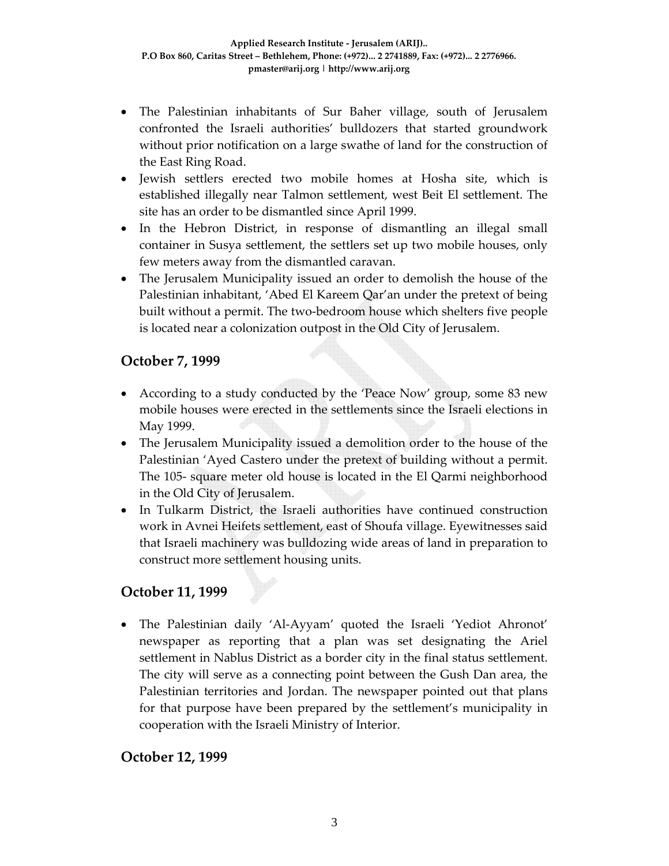- The Palestinian inhabitants of Sur Baher village, south of Jerusalem confronted the Israeli authorities' bulldozers that started groundwork without prior notification on a large swathe of land for the construction of the East Ring Road.
- Jewish settlers erected two mobile homes at Hosha site, which is established illegally near Talmon settlement, west Beit El settlement. The site has an order to be dismantled since April 1999.
- In the Hebron District, in response of dismantling an illegal small container in Susya settlement, the settlers set up two mobile houses, only few meters away from the dismantled caravan.
- The Jerusalem Municipality issued an order to demolish the house of the Palestinian inhabitant, 'Abed El Kareem Qar'an under the pretext of being built without a permit. The two‐bedroom house which shelters five people is located near a colonization outpost in the Old City of Jerusalem.

## **October 7, 1999**

- According to a study conducted by the 'Peace Now' group, some 83 new mobile houses were erected in the settlements since the Israeli elections in May 1999.
- The Jerusalem Municipality issued a demolition order to the house of the Palestinian 'Ayed Castero under the pretext of building without a permit. The 105‐ square meter old house is located in the El Qarmi neighborhood in the Old City of Jerusalem.
- In Tulkarm District, the Israeli authorities have continued construction work in Avnei Heifets settlement, east of Shoufa village. Eyewitnesses said that Israeli machinery was bulldozing wide areas of land in preparation to construct more settlement housing units.

# **October 11, 1999**

• The Palestinian daily 'Al‐Ayyam' quoted the Israeli 'Yediot Ahronot' newspaper as reporting that a plan was set designating the Ariel settlement in Nablus District as a border city in the final status settlement. The city will serve as a connecting point between the Gush Dan area, the Palestinian territories and Jordan. The newspaper pointed out that plans for that purpose have been prepared by the settlement's municipality in cooperation with the Israeli Ministry of Interior.

## **October 12, 1999**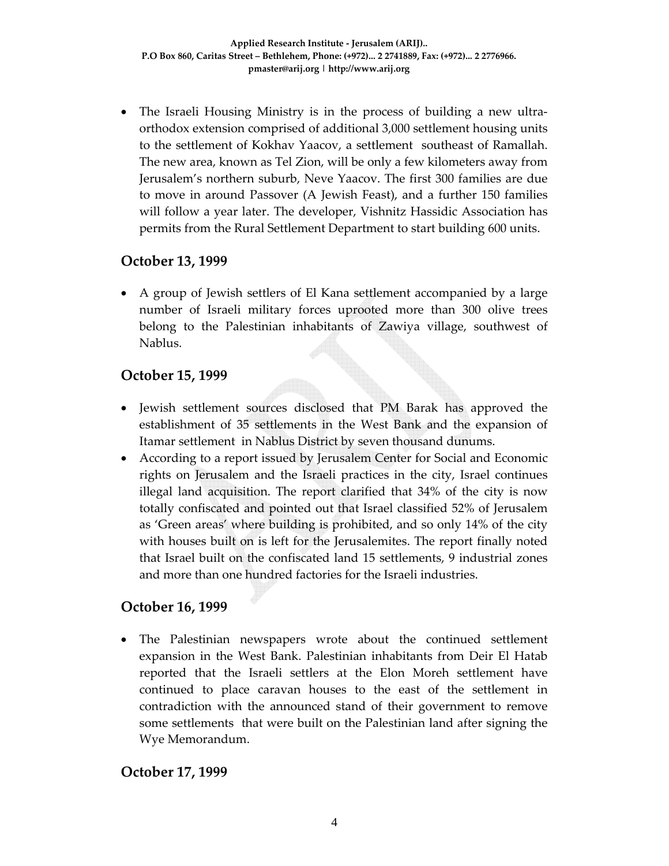• The Israeli Housing Ministry is in the process of building a new ultraorthodox extension comprised of additional 3,000 settlement housing units to the settlement of Kokhav Yaacov, a settlement southeast of Ramallah. The new area, known as Tel Zion, will be only a few kilometers away from Jerusalem's northern suburb, Neve Yaacov. The first 300 families are due to move in around Passover (A Jewish Feast), and a further 150 families will follow a year later. The developer, Vishnitz Hassidic Association has permits from the Rural Settlement Department to start building 600 units.

#### **October 13, 1999**

• A group of Jewish settlers of El Kana settlement accompanied by a large number of Israeli military forces uprooted more than 300 olive trees belong to the Palestinian inhabitants of Zawiya village, southwest of Nablus.

## **October 15, 1999**

- Jewish settlement sources disclosed that PM Barak has approved the establishment of 35 settlements in the West Bank and the expansion of Itamar settlement in Nablus District by seven thousand dunums.
- According to a report issued by Jerusalem Center for Social and Economic rights on Jerusalem and the Israeli practices in the city, Israel continues illegal land acquisition. The report clarified that 34% of the city is now totally confiscated and pointed out that Israel classified 52% of Jerusalem as 'Green areas' where building is prohibited, and so only 14% of the city with houses built on is left for the Jerusalemites. The report finally noted that Israel built on the confiscated land 15 settlements, 9 industrial zones and more than one hundred factories for the Israeli industries.

## **October 16, 1999**

• The Palestinian newspapers wrote about the continued settlement expansion in the West Bank. Palestinian inhabitants from Deir El Hatab reported that the Israeli settlers at the Elon Moreh settlement have continued to place caravan houses to the east of the settlement in contradiction with the announced stand of their government to remove some settlements that were built on the Palestinian land after signing the Wye Memorandum.

## **October 17, 1999**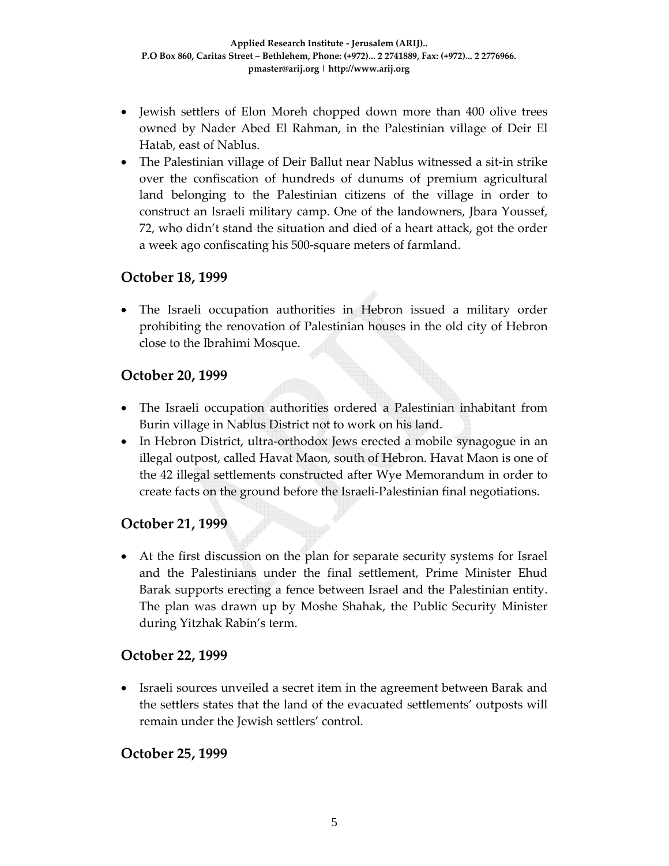- Jewish settlers of Elon Moreh chopped down more than 400 olive trees owned by Nader Abed El Rahman, in the Palestinian village of Deir El Hatab, east of Nablus.
- The Palestinian village of Deir Ballut near Nablus witnessed a sit-in strike over the confiscation of hundreds of dunums of premium agricultural land belonging to the Palestinian citizens of the village in order to construct an Israeli military camp. One of the landowners, Jbara Youssef, 72, who didn't stand the situation and died of a heart attack, got the order a week ago confiscating his 500‐square meters of farmland.

#### **October 18, 1999**

• The Israeli occupation authorities in Hebron issued a military order prohibiting the renovation of Palestinian houses in the old city of Hebron close to the Ibrahimi Mosque.

#### **October 20, 1999**

- The Israeli occupation authorities ordered a Palestinian inhabitant from Burin village in Nablus District not to work on his land.
- In Hebron District, ultra-orthodox Jews erected a mobile synagogue in an illegal outpost, called Havat Maon, south of Hebron. Havat Maon is one of the 42 illegal settlements constructed after Wye Memorandum in order to create facts on the ground before the Israeli‐Palestinian final negotiations.

## **October 21, 1999**

• At the first discussion on the plan for separate security systems for Israel and the Palestinians under the final settlement, Prime Minister Ehud Barak supports erecting a fence between Israel and the Palestinian entity. The plan was drawn up by Moshe Shahak, the Public Security Minister during Yitzhak Rabin's term.

#### **October 22, 1999**

• Israeli sources unveiled a secret item in the agreement between Barak and the settlers states that the land of the evacuated settlements' outposts will remain under the Jewish settlers' control.

#### **October 25, 1999**